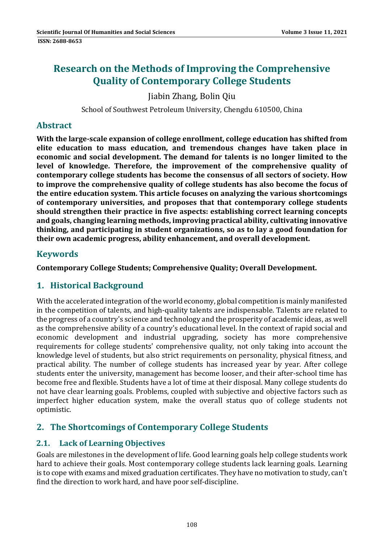# **Research on the Methods of Improving the Comprehensive Quality of Contemporary College Students**

Jiabin Zhang, Bolin Qiu 

School of Southwest Petroleum University, Chengdu 610500, China

## **Abstract**

**With the large‐scale expansion of college enrollment, college education has shifted from elite education to mass education, and tremendous changes have taken place in economic and social development. The demand for talents is no longer limited to the level of knowledge. Therefore, the improvement of the comprehensive quality of contemporary college students has become the consensus of all sectors of society. How to improve the comprehensive quality of college students has also become the focus of the entire education system. This article focuses on analyzing the various shortcomings of contemporary universities, and proposes that that contemporary college students should strengthen their practice in five aspects: establishing correct learning concepts and goals, changing learning methods, improving practical ability, cultivating innovative thinking, and participating in student organizations, so as to lay a good foundation for their own academic progress, ability enhancement, and overall development.**

## **Keywords**

**Contemporary College Students; Comprehensive Quality; Overall Development.**

## **1. Historical Background**

With the accelerated integration of the world economy, global competition is mainly manifested in the competition of talents, and high-quality talents are indispensable. Talents are related to the progress of a country's science and technology and the prosperity of academic ideas, as well as the comprehensive ability of a country's educational level. In the context of rapid social and economic development and industrial upgrading, society has more comprehensive requirements for college students' comprehensive quality, not only taking into account the knowledge level of students, but also strict requirements on personality, physical fitness, and practical ability. The number of college students has increased year by year. After college students enter the university, management has become looser, and their after-school time has become free and flexible. Students have a lot of time at their disposal. Many college students do not have clear learning goals. Problems, coupled with subjective and objective factors such as imperfect higher education system, make the overall status quo of college students not optimistic. 

## **2. The Shortcomings of Contemporary College Students**

## **2.1. Lack of Learning Objectives**

Goals are milestones in the development of life. Good learning goals help college students work hard to achieve their goals. Most contemporary college students lack learning goals. Learning is to cope with exams and mixed graduation certificates. They have no motivation to study, can't find the direction to work hard, and have poor self-discipline.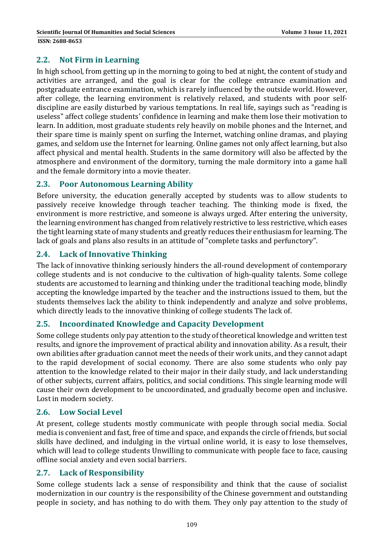#### **2.2. Not Firm in Learning**

In high school, from getting up in the morning to going to bed at night, the content of study and activities are arranged, and the goal is clear for the college entrance examination and postgraduate entrance examination, which is rarely influenced by the outside world. However, after college, the learning environment is relatively relaxed, and students with poor selfdiscipline are easily disturbed by various temptations. In real life, sayings such as "reading is useless" affect college students' confidence in learning and make them lose their motivation to learn. In addition, most graduate students rely heavily on mobile phones and the Internet, and their spare time is mainly spent on surfing the Internet, watching online dramas, and playing games, and seldom use the Internet for learning. Online games not only affect learning, but also affect physical and mental health. Students in the same dormitory will also be affected by the atmosphere and environment of the dormitory, turning the male dormitory into a game hall and the female dormitory into a movie theater.

## **2.3. Poor Autonomous Learning Ability**

Before university, the education generally accepted by students was to allow students to passively receive knowledge through teacher teaching. The thinking mode is fixed, the environment is more restrictive, and someone is always urged. After entering the university, the learning environment has changed from relatively restrictive to less restrictive, which eases the tight learning state of many students and greatly reduces their enthusiasm for learning. The lack of goals and plans also results in an attitude of "complete tasks and perfunctory".

## **2.4. Lack of Innovative Thinking**

The lack of innovative thinking seriously hinders the all-round development of contemporary college students and is not conducive to the cultivation of high-quality talents. Some college students are accustomed to learning and thinking under the traditional teaching mode, blindly accepting the knowledge imparted by the teacher and the instructions issued to them, but the students themselves lack the ability to think independently and analyze and solve problems, which directly leads to the innovative thinking of college students The lack of.

#### **2.5. Incoordinated Knowledge and Capacity Development**

Some college students only pay attention to the study of theoretical knowledge and written test results, and ignore the improvement of practical ability and innovation ability. As a result, their own abilities after graduation cannot meet the needs of their work units, and they cannot adapt to the rapid development of social economy. There are also some students who only pay attention to the knowledge related to their major in their daily study, and lack understanding of other subjects, current affairs, politics, and social conditions. This single learning mode will cause their own development to be uncoordinated, and gradually become open and inclusive. Lost in modern society.

#### **2.6. Low Social Level**

At present, college students mostly communicate with people through social media. Social media is convenient and fast, free of time and space, and expands the circle of friends, but social skills have declined, and indulging in the virtual online world, it is easy to lose themselves, which will lead to college students Unwilling to communicate with people face to face, causing offline social anxiety and even social barriers.

## **2.7. Lack of Responsibility**

Some college students lack a sense of responsibility and think that the cause of socialist modernization in our country is the responsibility of the Chinese government and outstanding people in society, and has nothing to do with them. They only pay attention to the study of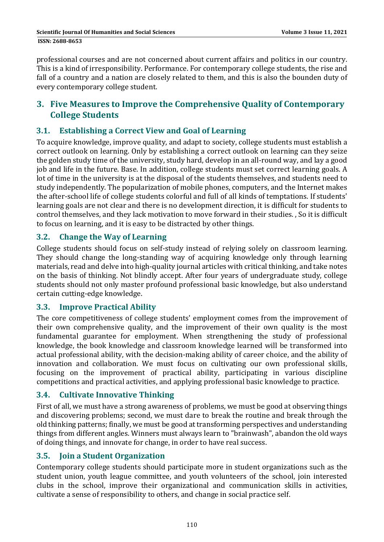professional courses and are not concerned about current affairs and politics in our country. This is a kind of irresponsibility. Performance. For contemporary college students, the rise and fall of a country and a nation are closely related to them, and this is also the bounden duty of every contemporary college student.

## **3. Five Measures to Improve the Comprehensive Quality of Contemporary College Students**

## **3.1. Establishing a Correct View and Goal of Learning**

To acquire knowledge, improve quality, and adapt to society, college students must establish a correct outlook on learning. Only by establishing a correct outlook on learning can they seize the golden study time of the university, study hard, develop in an all-round way, and lay a good job and life in the future. Base. In addition, college students must set correct learning goals. A lot of time in the university is at the disposal of the students themselves, and students need to study independently. The popularization of mobile phones, computers, and the Internet makes the after-school life of college students colorful and full of all kinds of temptations. If students' learning goals are not clear and there is no development direction, it is difficult for students to control themselves, and they lack motivation to move forward in their studies. , So it is difficult to focus on learning, and it is easy to be distracted by other things.

#### **3.2. Change the Way of Learning**

College students should focus on self-study instead of relying solely on classroom learning. They should change the long-standing way of acquiring knowledge only through learning materials, read and delve into high-quality journal articles with critical thinking, and take notes on the basis of thinking. Not blindly accept. After four years of undergraduate study, college students should not only master profound professional basic knowledge, but also understand certain cutting-edge knowledge.

#### **3.3. Improve Practical Ability**

The core competitiveness of college students' employment comes from the improvement of their own comprehensive quality, and the improvement of their own quality is the most fundamental guarantee for employment. When strengthening the study of professional knowledge, the book knowledge and classroom knowledge learned will be transformed into actual professional ability, with the decision-making ability of career choice, and the ability of innovation and collaboration. We must focus on cultivating our own professional skills, focusing on the improvement of practical ability, participating in various discipline competitions and practical activities, and applying professional basic knowledge to practice.

## **3.4. Cultivate Innovative Thinking**

First of all, we must have a strong awareness of problems, we must be good at observing things and discovering problems; second, we must dare to break the routine and break through the old thinking patterns; finally, we must be good at transforming perspectives and understanding things from different angles. Winners must always learn to "brainwash", abandon the old ways of doing things, and innovate for change, in order to have real success.

## **3.5. Join a Student Organization**

Contemporary college students should participate more in student organizations such as the student union, youth league committee, and youth volunteers of the school, join interested clubs in the school, improve their organizational and communication skills in activities, cultivate a sense of responsibility to others, and change in social practice self.